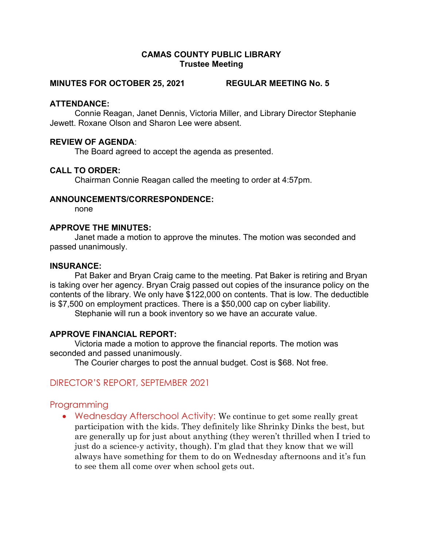#### CAMAS COUNTY PUBLIC LIBRARY Trustee Meeting

#### MINUTES FOR OCTOBER 25, 2021 REGULAR MEETING No. 5

#### ATTENDANCE:

Connie Reagan, Janet Dennis, Victoria Miller, and Library Director Stephanie Jewett. Roxane Olson and Sharon Lee were absent.

### REVIEW OF AGENDA:

The Board agreed to accept the agenda as presented.

#### CALL TO ORDER:

Chairman Connie Reagan called the meeting to order at 4:57pm.

#### ANNOUNCEMENTS/CORRESPONDENCE:

none

## APPROVE THE MINUTES:

Janet made a motion to approve the minutes. The motion was seconded and passed unanimously.

#### INSURANCE:

Pat Baker and Bryan Craig came to the meeting. Pat Baker is retiring and Bryan is taking over her agency. Bryan Craig passed out copies of the insurance policy on the contents of the library. We only have \$122,000 on contents. That is low. The deductible is \$7,500 on employment practices. There is a \$50,000 cap on cyber liability.

Stephanie will run a book inventory so we have an accurate value.

### APPROVE FINANCIAL REPORT:

Victoria made a motion to approve the financial reports. The motion was seconded and passed unanimously.

The Courier charges to post the annual budget. Cost is \$68. Not free.

# DIRECTOR'S REPORT, SEPTEMBER 2021

# Programming

• Wednesday Afterschool Activity: We continue to get some really great participation with the kids. They definitely like Shrinky Dinks the best, but are generally up for just about anything (they weren't thrilled when I tried to just do a science-y activity, though). I'm glad that they know that we will always have something for them to do on Wednesday afternoons and it's fun to see them all come over when school gets out.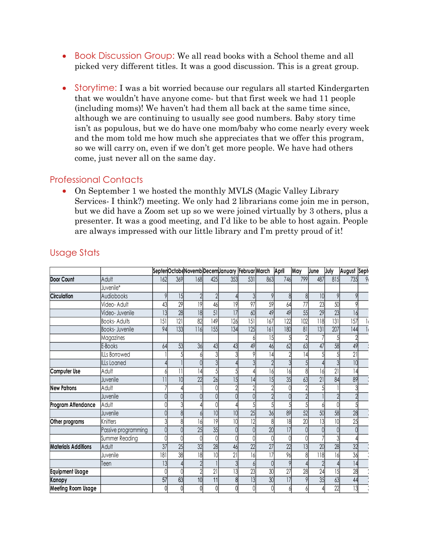- Book Discussion Group: We all read books with a School theme and all picked very different titles. It was a good discussion. This is a great group.
- Storytime: I was a bit worried because our regulars all started Kindergarten that we wouldn't have anyone come- but that first week we had 11 people (including moms)! We haven't had them all back at the same time since, although we are continuing to usually see good numbers. Baby story time isn't as populous, but we do have one mom/baby who come nearly every week and the mom told me how much she appreciates that we offer this program, so we will carry on, even if we don't get more people. We have had others come, just never all on the same day. The Worrela because our regulars an startied Knew the energy of the anyone come- but that first week we had 11 people<br>
(e haven't had them all back at the same time since,<br>
tive do have one mom/haby who come nearly every that we would in that we have any one one- but that there we had 11 people<br>
(including moms)! We haven't had them all back at the same time since,<br>
although we are continuing to usually see good numbers. Baby story time<br>

# Professional Contacts

|                                     | although we are continuing to usually see good numbers. Baby story time<br>isn't as populous, but we do have one mom/baby who come nearly every week<br>and the mom told me how much she appreciates that we offer this program,<br>so we will carry on, even if we don't get more people. We have had others<br>come, just never all on the same day.                                          |                 |                 |                                                        |                 |                  |                  |                 |                  |     |                  |                  |             |                       |
|-------------------------------------|-------------------------------------------------------------------------------------------------------------------------------------------------------------------------------------------------------------------------------------------------------------------------------------------------------------------------------------------------------------------------------------------------|-----------------|-----------------|--------------------------------------------------------|-----------------|------------------|------------------|-----------------|------------------|-----|------------------|------------------|-------------|-----------------------|
| <b>Professional Contacts</b>        | On September 1 we hosted the monthly MVLS (Magic Valley Library<br>Services I think?) meeting. We only had 2 librarians come join me in person,<br>but we did have a Zoom set up so we were joined virtually by 3 others, plus a<br>presenter. It was a good meeting, and I'd like to be able to host again. People<br>are always impressed with our little library and I'm pretty proud of it! |                 |                 |                                                        |                 |                  |                  |                 |                  |     |                  |                  |             |                       |
| <b>Usage Stats</b>                  |                                                                                                                                                                                                                                                                                                                                                                                                 |                 |                 |                                                        |                 |                  |                  |                 |                  |     |                  |                  |             |                       |
|                                     |                                                                                                                                                                                                                                                                                                                                                                                                 |                 |                 | Septer Octobe Novemb Decem January Februar March April |                 |                  |                  |                 |                  | May | June             | July             | August Sept |                       |
| Door Count                          | Adult                                                                                                                                                                                                                                                                                                                                                                                           | 162             | 369             | 168                                                    | 425             | 353              | 531              | 863             | 746              | 799 | 487              | 815              | 735         |                       |
|                                     | Juvenile*                                                                                                                                                                                                                                                                                                                                                                                       |                 |                 |                                                        |                 |                  |                  |                 |                  |     |                  |                  |             |                       |
| <b>Circulation</b>                  | Audiobooks                                                                                                                                                                                                                                                                                                                                                                                      |                 | 15              |                                                        |                 |                  |                  |                 |                  |     |                  |                  |             |                       |
|                                     | Video-Adult                                                                                                                                                                                                                                                                                                                                                                                     |                 | $\overline{29}$ | 9                                                      | 46              |                  | 97               | 59              |                  | 77  | $\overline{23}$  | 50               |             |                       |
|                                     | Video- Juvenile                                                                                                                                                                                                                                                                                                                                                                                 | 13              | 28              | 8                                                      | 51              |                  | 60               | 49              |                  | 55  | 29               | 23               | 16          |                       |
|                                     | <b>Books-Adults</b>                                                                                                                                                                                                                                                                                                                                                                             | 5               | 2               | 82                                                     | 149             | $\overline{126}$ | 5                | 167             | $\overline{122}$ | 102 | 118              | $\overline{131}$ | 157         |                       |
|                                     | <b>Books-Juvenile</b>                                                                                                                                                                                                                                                                                                                                                                           | 94              | 33              | 116                                                    | 155             | 134              | $\overline{125}$ | 161             | 180              | 81  | 31               | 207              | 144         |                       |
|                                     | Magazines                                                                                                                                                                                                                                                                                                                                                                                       |                 |                 |                                                        |                 |                  |                  |                 |                  |     |                  |                  |             |                       |
|                                     | E-Books                                                                                                                                                                                                                                                                                                                                                                                         |                 | 53              | 36                                                     |                 |                  |                  |                 |                  | 63  | 47               | 58               |             | 49                    |
|                                     | <b>ILLs Borrowed</b>                                                                                                                                                                                                                                                                                                                                                                            |                 |                 |                                                        |                 |                  |                  |                 |                  |     |                  |                  | 21          |                       |
|                                     | ILLs Loaned                                                                                                                                                                                                                                                                                                                                                                                     |                 |                 |                                                        |                 |                  |                  |                 |                  |     |                  |                  |             | 10                    |
| Computer Use                        | Adult                                                                                                                                                                                                                                                                                                                                                                                           |                 |                 |                                                        |                 |                  |                  |                 |                  |     |                  | 21               | 14          |                       |
|                                     | Juvenile                                                                                                                                                                                                                                                                                                                                                                                        |                 |                 | 22                                                     | 26              |                  |                  | 15              | 35               | 63  | 21               | 84               |             | 89                    |
| <b>New Patrons</b>                  | Adult                                                                                                                                                                                                                                                                                                                                                                                           |                 |                 |                                                        |                 |                  |                  |                 |                  |     |                  |                  |             |                       |
|                                     | Juvenile                                                                                                                                                                                                                                                                                                                                                                                        |                 |                 |                                                        |                 |                  |                  |                 |                  |     |                  |                  |             |                       |
| Program Attendance                  | Adult                                                                                                                                                                                                                                                                                                                                                                                           |                 |                 |                                                        |                 |                  |                  |                 |                  |     |                  |                  |             |                       |
|                                     | Juvenile                                                                                                                                                                                                                                                                                                                                                                                        |                 |                 |                                                        |                 |                  | 25               | 36              |                  | 52  | 50               | 58               | 28          |                       |
| Other programs                      | Knitters                                                                                                                                                                                                                                                                                                                                                                                        |                 |                 |                                                        |                 |                  |                  |                 |                  | 20  |                  | 10               | 25          |                       |
|                                     | Passive programming                                                                                                                                                                                                                                                                                                                                                                             |                 |                 | 25                                                     | 35              |                  |                  | 20              | 7                |     |                  |                  |             |                       |
|                                     | Summer Reading                                                                                                                                                                                                                                                                                                                                                                                  |                 |                 |                                                        |                 |                  |                  |                 |                  |     |                  |                  |             |                       |
| <b>Materials Additions</b>          | Adult                                                                                                                                                                                                                                                                                                                                                                                           | 37              | 25              | 32                                                     | 28              |                  | 22               | 27              | 22               |     | 20               | 28               |             | 32                    |
|                                     | Juvenile                                                                                                                                                                                                                                                                                                                                                                                        | 8               | $\overline{38}$ | 18                                                     | 10 <sup>1</sup> | $\overline{21}$  |                  | 17              | 96               |     | $\overline{118}$ | 16               |             | $\overline{36}$       |
|                                     | Teen                                                                                                                                                                                                                                                                                                                                                                                            | 13 <sup>l</sup> |                 |                                                        |                 |                  |                  |                 | 9                |     |                  |                  |             | 4                     |
|                                     |                                                                                                                                                                                                                                                                                                                                                                                                 |                 |                 |                                                        | 21              |                  | $\overline{23}$  | $\overline{30}$ | 27               | 28  | $\overline{24}$  | 15               |             | 28                    |
|                                     |                                                                                                                                                                                                                                                                                                                                                                                                 |                 |                 |                                                        |                 |                  |                  |                 |                  |     | 35               | 63               |             |                       |
| <b>Equipment Usage</b>              |                                                                                                                                                                                                                                                                                                                                                                                                 |                 |                 |                                                        |                 |                  |                  |                 |                  |     |                  |                  |             |                       |
| Kanopy<br><b>Meeting Room Usage</b> |                                                                                                                                                                                                                                                                                                                                                                                                 | 57              | 63<br>$\Omega$  | 10                                                     | 11              |                  | 13               | 30              | 7                | 9   |                  | $\overline{22}$  |             | 44<br>$\overline{13}$ |

# Usage Stats